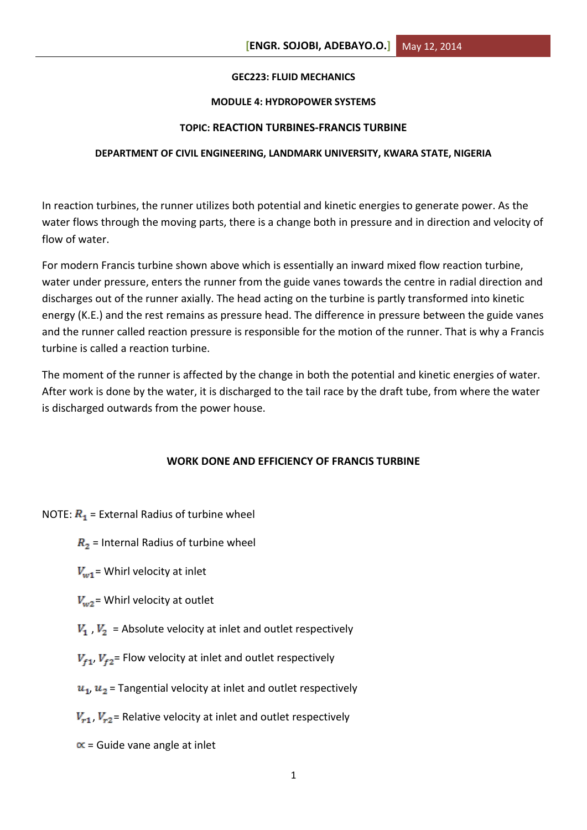## **GEC223: FLUID MECHANICS**

## **MODULE 4: HYDROPOWER SYSTEMS**

# **TOPIC: REACTION TURBINES-FRANCIS TURBINE**

## **DEPARTMENT OF CIVIL ENGINEERING, LANDMARK UNIVERSITY, KWARA STATE, NIGERIA**

In reaction turbines, the runner utilizes both potential and kinetic energies to generate power. As the water flows through the moving parts, there is a change both in pressure and in direction and velocity of flow of water.

For modern Francis turbine shown above which is essentially an inward mixed flow reaction turbine, water under pressure, enters the runner from the guide vanes towards the centre in radial direction and discharges out of the runner axially. The head acting on the turbine is partly transformed into kinetic energy (K.E.) and the rest remains as pressure head. The difference in pressure between the guide vanes and the runner called reaction pressure is responsible for the motion of the runner. That is why a Francis turbine is called a reaction turbine.

The moment of the runner is affected by the change in both the potential and kinetic energies of water. After work is done by the water, it is discharged to the tail race by the draft tube, from where the water is discharged outwards from the power house.

## **WORK DONE AND EFFICIENCY OF FRANCIS TURBINE**

NOTE:  $R_1$  = External Radius of turbine wheel

- $R<sub>2</sub>$  = Internal Radius of turbine wheel
- $V_{w1}$  = Whirl velocity at inlet
- $V_{\omega 2}$  = Whirl velocity at outlet
- $V_1$ ,  $V_2$  = Absolute velocity at inlet and outlet respectively
- $V_{f1}$ ,  $V_{f2}$  Flow velocity at inlet and outlet respectively
- $u_1$ ,  $u_2$  = Tangential velocity at inlet and outlet respectively
- $V_{r1}$ ,  $V_{r2}$  = Relative velocity at inlet and outlet respectively
- $\alpha$  = Guide vane angle at inlet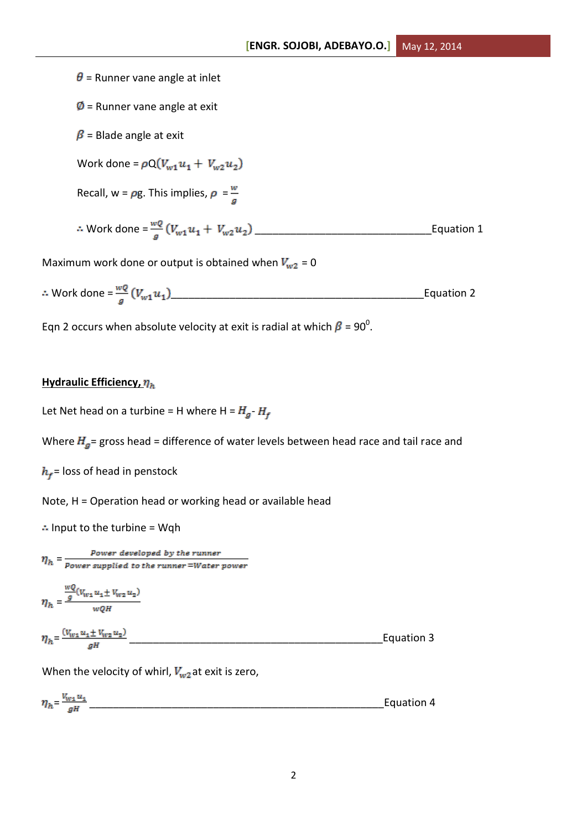$\theta$  = Runner vane angle at inlet  $\emptyset$  = Runner vane angle at exit  $\beta$  = Blade angle at exit Work done =  $\rho Q(V_{w1}u_1 + V_{w2}u_2)$ Recall,  $w = \rho g$ . This implies,  $\rho = \frac{w}{a}$ Work done = \_\_\_\_\_\_\_\_\_\_\_\_\_\_\_\_\_\_\_\_\_\_\_\_\_\_\_\_\_\_Equation 1 Maximum work done or output is obtained when  $V_{w2} = 0$ Work done = \_\_\_\_\_\_\_\_\_\_\_\_\_\_\_\_\_\_\_\_\_\_\_\_\_\_\_\_\_\_\_\_\_\_\_\_\_\_\_\_\_\_\_Equation 2

Eqn 2 occurs when absolute velocity at exit is radial at which  $\beta$  = 90<sup>0</sup>.

## **Hydraulic Efficiency,**  $\eta_h$

Let Net head on a turbine = H where H =  $H_g$ - $H_f$ 

Where  $H<sub>g</sub>$  = gross head = difference of water levels between head race and tail race and

 $h_f$ = loss of head in penstock

Note, H = Operation head or working head or available head

 $\therefore$  Input to the turbine = Wqh

 $\eta_h = \frac{Power~developed~by~the~runner}{Power~supplied~to~the~runner = Water~power}$  $wQ$  $\lambda$ 

$$
\eta_h = \frac{\frac{Q}{g}(V_{W1}u_1 \pm V_{W2}u_2)}{wQH}
$$

$$
\eta_h = \frac{(v_{w1}u_1 \pm v_{w2}u_2)}{gH}
$$
 *Equation 3*

When the velocity of whirl,  $V_{w2}$  at exit is zero,

$$
\eta_h = \frac{V_{w1} u_1}{gH}
$$
 *Equation 4*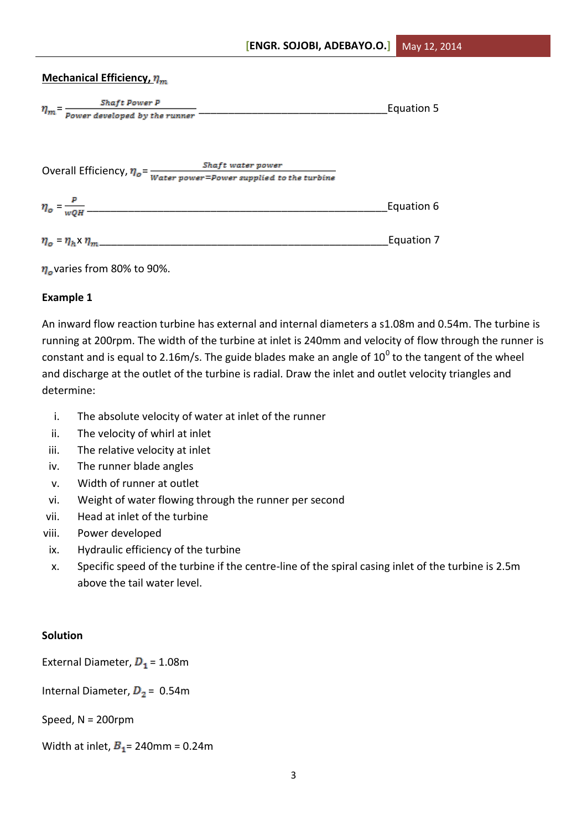# **Mechanical Efficiency,**  $\eta_m$

| Shaft Power P<br>$\eta_m$ = $\frac{1}{\textit{Power}$ developed by the runner                 |                   | Equation 5 |
|-----------------------------------------------------------------------------------------------|-------------------|------------|
| Overall Efficiency, $\eta_o = \frac{1}{Water\ power = Power\ support\ set\ to\ the\ turbine}$ | Shaft water power |            |
| $\eta_o = \frac{P}{wQH}$                                                                      |                   | Equation 6 |
| $\eta_o$ – $\eta_h$ $\eta_m$                                                                  |                   | Equation 7 |



# **Example 1**

An inward flow reaction turbine has external and internal diameters a s1.08m and 0.54m. The turbine is running at 200rpm. The width of the turbine at inlet is 240mm and velocity of flow through the runner is constant and is equal to 2.16m/s. The guide blades make an angle of 10<sup>0</sup> to the tangent of the wheel and discharge at the outlet of the turbine is radial. Draw the inlet and outlet velocity triangles and determine:

- i. The absolute velocity of water at inlet of the runner
- ii. The velocity of whirl at inlet
- iii. The relative velocity at inlet
- iv. The runner blade angles
- v. Width of runner at outlet
- vi. Weight of water flowing through the runner per second
- vii. Head at inlet of the turbine
- viii. Power developed
- ix. Hydraulic efficiency of the turbine
- x. Specific speed of the turbine if the centre-line of the spiral casing inlet of the turbine is 2.5m above the tail water level.

# **Solution**

External Diameter,  $D_1 = 1.08$ m

Internal Diameter,  $D_2 = 0.54$ m

Speed, N = 200rpm

Width at inlet,  $B_1$  = 240mm = 0.24m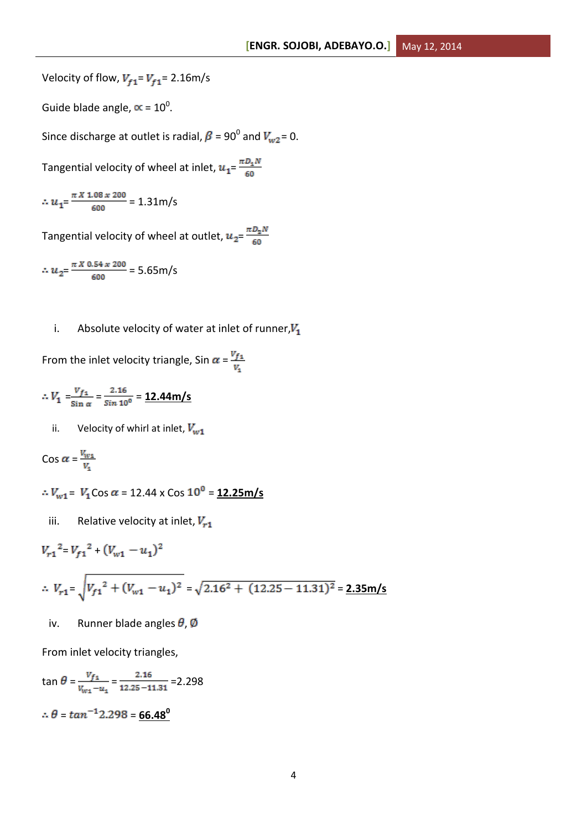Velocity of flow,  $V_{f1} = V_{f1} = 2.16 \text{m/s}$ 

Guide blade angle,  $\propto$  = 10<sup>0</sup>.

Since discharge at outlet is radial,  $\beta$  = 90<sup>0</sup> and  $V_{w2}$ = 0.

Tangential velocity of wheel at inlet,  $u_1 = \frac{\pi D_1 N}{60}$ 

$$
\therefore u_1 = \frac{\pi X 1.08 \times 200}{600} = 1.31 \text{m/s}
$$

Tangential velocity of wheel at outlet,  $u_{2} = \frac{\pi D_2 N}{60}$ 

$$
\therefore u_2 = \frac{\pi \times 0.54 \times 200}{600} = 5.65 \text{ m/s}
$$

i. Absolute velocity of water at inlet of runner, $V_1$ 

From the inlet velocity triangle, Sin  $\alpha = \frac{V_{f_1}}{V}$ 

$$
\therefore V_1 = \frac{V_{f_1}}{\sin \alpha} = \frac{2.16}{\sin 10^0} = \frac{12.44 \text{ m/s}}{}
$$

ii. Velocity of whirl at inlet,  $V_{w1}$ 

$$
\cos \alpha = \frac{V_{w1}}{V_{s}}
$$

 $\therefore V_{w1} = V_1 \cos \alpha = 12.44 \times \cos 10^0 = 12.25 \text{ m/s}$ 

iii. Relative velocity at inlet,  $V_{r1}$ 

$$
V_{r1}^{2} = V_{f1}^{2} + (V_{w1} - u_{1})^{2}
$$
  
 
$$
\therefore V_{r1} = \sqrt{V_{f1}^{2} + (V_{w1} - u_{1})^{2}} = \sqrt{2.16^{2} + (12.25 - 11.31)^{2}} = 2.35 \text{ m/s}
$$

iv. Runner blade angles  $\theta$ , Ø

From inlet velocity triangles,

$$
\tan \theta = \frac{v_{f_1}}{v_{w_1} - u_1} = \frac{2.16}{12.25 - 11.31} = 2.298
$$

 $\therefore \theta = \tan^{-1} 2.298 = 66.48^{\circ}$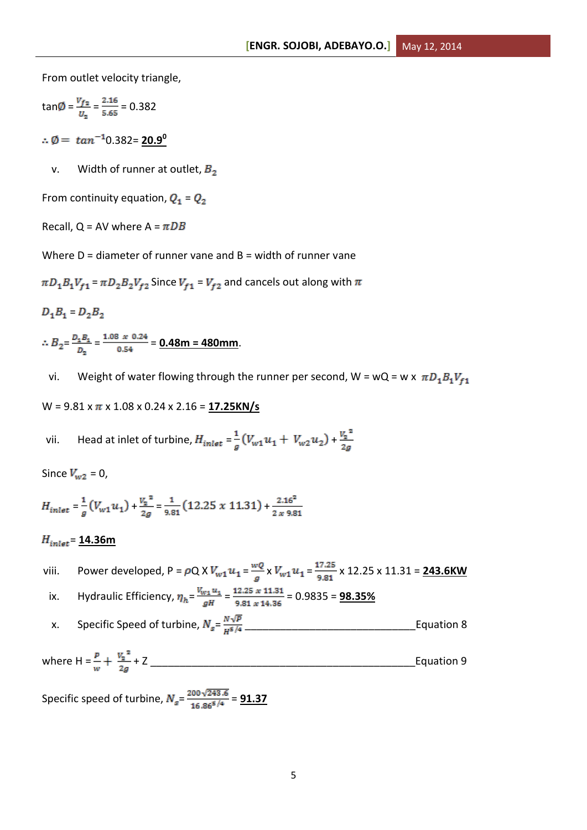From outlet velocity triangle,

$$
\tan\emptyset = \frac{v_{f2}}{v_2} = \frac{2.16}{5.65} = 0.382
$$

 $\therefore \emptyset = \tan^{-1} 0.382 = 20.9^0$ 

v. Width of runner at outlet,  $B_2$ 

From continuity equation,  $Q_1 = Q_2$ 

Recall, Q = AV where  $A = \pi DB$ 

Where  $D =$  diameter of runner vane and  $B =$  width of runner vane

 $\pi D_1 B_1 V_{f1}$  =  $\pi D_2 B_2 V_{f2}$  Since  $V_{f1}$  =  $V_{f2}$  and cancels out along with  $\pi$ 

$$
D_1B_1=D_2B_2
$$

 $\therefore B_2 = \frac{D_4 B_4}{D_2} = \frac{1.08 \times 0.24}{0.54} = 0.48 \text{m} = 480 \text{mm}.$ 

vi. Weight of water flowing through the runner per second, W = wQ = w x  $\pi D_1 B_1 V_{f1}$ 

W = 9.81 x x 1.08 x 0.24 x 2.16 = **17.25KN/s**

vii. Head at inlet of turbine,  $H_{inlet} = \frac{1}{a}(V_{w1}u_1 + V_{w2}u_2) + \frac{V_2^2}{2a}$ 

Since  $V_{w2} = 0$ ,

$$
H_{inlet} = \frac{1}{g} \left( V_{w1} u_1 \right) + \frac{V_2^2}{2g} = \frac{1}{9.81} \left( 12.25 \times 11.31 \right) + \frac{2.16^2}{2 \times 9.81}
$$

# $H_{inlet}$  = 14.36m

- viii. Power developed, P =  $\rho$ Q X  $V_{w1}u_1 = \frac{wQ}{q} \times V_{w1}u_1 = \frac{17.25}{9.81} \times 12.25 \times 11.31 = \frac{243.6 \text{KW}}{2.11 \times 10^{-11} \text{AU}}$
- ix. Hydraulic Efficiency,  $\eta_h = \frac{V_{w1} u_1}{gH} = \frac{12.25 \times 11.31}{9.81 \times 14.36} = 0.9835 = \frac{98.35\%}{9.81 \times 14.36}$
- x. Specific Speed of turbine, = \_\_\_\_\_\_\_\_\_\_\_\_\_\_\_\_\_\_\_\_\_\_\_\_\_\_\_\_\_Equation 8

where H = + Z \_\_\_\_\_\_\_\_\_\_\_\_\_\_\_\_\_\_\_\_\_\_\_\_\_\_\_\_\_\_\_\_\_\_\_\_\_\_\_\_\_\_\_\_\_Equation 9

Specific speed of turbine,  $N_s = \frac{200\sqrt{243.6}}{16.865/4} = 91.37$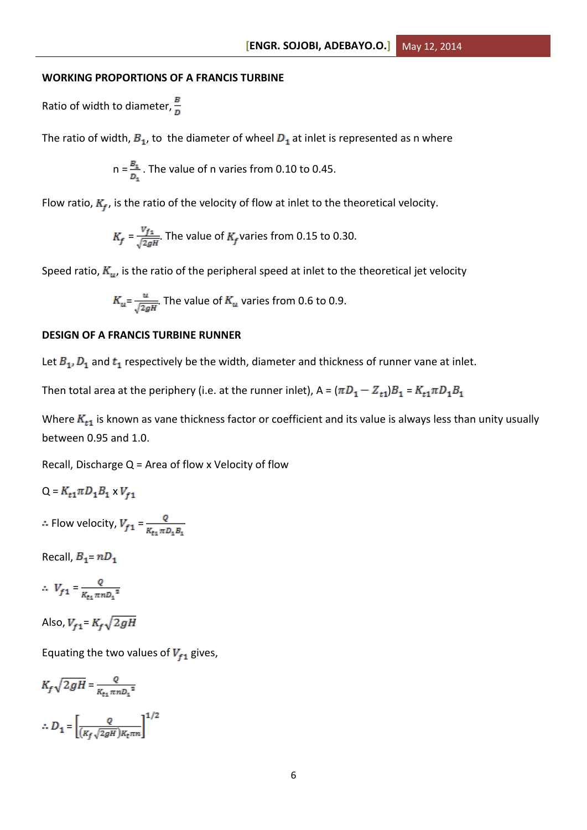#### **WORKING PROPORTIONS OF A FRANCIS TURBINE**

Ratio of width to diameter,  $\frac{B}{D}$ 

The ratio of width,  $B_1$ , to the diameter of wheel  $D_1$  at inlet is represented as n where

$$
n = \frac{B_1}{D_1}
$$
. The value of n varies from 0.10 to 0.45.

Flow ratio,  $K_f$ , is the ratio of the velocity of flow at inlet to the theoretical velocity.

$$
K_f = \frac{V_{f1}}{\sqrt{2gH}}
$$
. The value of  $K_f$  varies from 0.15 to 0.30.

Speed ratio,  $K_u$ , is the ratio of the peripheral speed at inlet to the theoretical jet velocity

$$
K_u = \frac{u}{\sqrt{2gH}}
$$
. The value of  $K_u$  varies from 0.6 to 0.9.

#### **DESIGN OF A FRANCIS TURBINE RUNNER**

Let  $B_1, D_1$  and  $t_1$  respectively be the width, diameter and thickness of runner vane at inlet.

Then total area at the periphery (i.e. at the runner inlet),  $A = (\pi D_1 - Z_{t1})B_1 = K_{t1}\pi D_1B_1$ 

Where  $K_{t1}$  is known as vane thickness factor or coefficient and its value is always less than unity usually between 0.95 and 1.0.

Recall, Discharge  $Q =$  Area of flow x Velocity of flow

 $Q = K_{t1} \pi D_1 B_1 \times V_{f1}$ 

 $\therefore$  Flow velocity,  $V_{f1} = \frac{Q}{K_{f1} \pi D_1 B_1}$ 

Recall,  $B_1 = nD_1$ 

$$
\therefore V_{f1} = \frac{Q}{K_{t1} \pi n D_1^2}
$$

Also,  $V_{f1} = K_f \sqrt{2gH}$ 

Equating the two values of  $V_{f1}$  gives,

$$
K_f \sqrt{2gH} = \frac{Q}{K_{t1} \pi n D_1^2}
$$
  
 
$$
\therefore D_1 = \left[ \frac{Q}{(K_f \sqrt{2gH})K_t \pi n} \right]^{1/2}
$$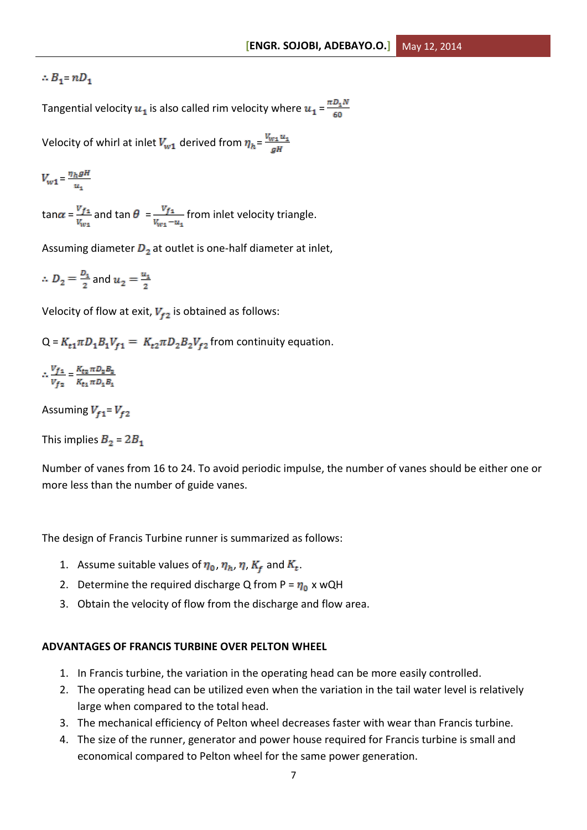# $\therefore B_1$ =  $nD_1$

Tangential velocity  $u_1$  is also called rim velocity where  $u_1 = \frac{\pi D_1 N}{60}$ 

Velocity of whirl at inlet  $V_{w1}$  derived from  $\eta_h = \frac{V_{w1} u_1}{\sigma^2}$ 

$$
V_{w1} = \frac{\eta_h g H}{u_1}
$$

 $\tan \alpha = \frac{v_{f_1}}{v_{f_1}}$  and  $\tan \theta = \frac{v_{f_1}}{v_{f_1}}$  from inlet velocity triangle.

Assuming diameter  $D_2$  at outlet is one-half diameter at inlet,

 $\therefore D_2 = \frac{D_1}{2}$  and  $u_2 = \frac{u_1}{2}$ 

Velocity of flow at exit,  $V_{f2}$  is obtained as follows:

 $Q = K_{t1} \pi D_1 B_1 V_{t1} = K_{t2} \pi D_2 B_2 V_{t2}$  from continuity equation.

 $\therefore \frac{V_{f1}}{V_{f2}} = \frac{K_{t2} \pi D_2 B_2}{K_{t1} \pi D_1 B_2}$ 

Assuming  $V_{f1} = V_{f2}$ 

This implies  $B_2 = 2B_1$ 

Number of vanes from 16 to 24. To avoid periodic impulse, the number of vanes should be either one or more less than the number of guide vanes.

The design of Francis Turbine runner is summarized as follows:

- 1. Assume suitable values of  $\eta_0$ ,  $\eta_h$ ,  $\eta$ ,  $K_f$  and  $K_t$ .
- 2. Determine the required discharge Q from P =  $\eta_0$  x wQH
- 3. Obtain the velocity of flow from the discharge and flow area.

## **ADVANTAGES OF FRANCIS TURBINE OVER PELTON WHEEL**

- 1. In Francis turbine, the variation in the operating head can be more easily controlled.
- 2. The operating head can be utilized even when the variation in the tail water level is relatively large when compared to the total head.
- 3. The mechanical efficiency of Pelton wheel decreases faster with wear than Francis turbine.
- 4. The size of the runner, generator and power house required for Francis turbine is small and economical compared to Pelton wheel for the same power generation.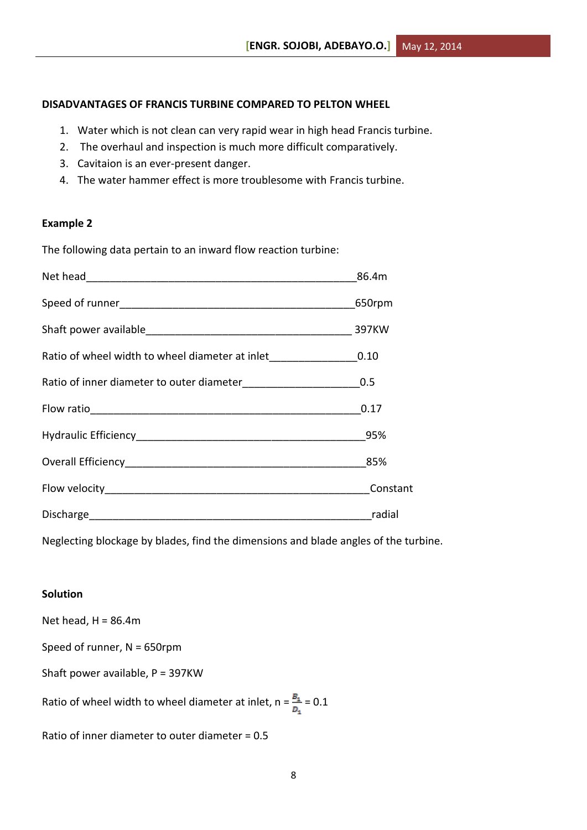# **DISADVANTAGES OF FRANCIS TURBINE COMPARED TO PELTON WHEEL**

- 1. Water which is not clean can very rapid wear in high head Francis turbine.
- 2. The overhaul and inspection is much more difficult comparatively.
- 3. Cavitaion is an ever-present danger.
- 4. The water hammer effect is more troublesome with Francis turbine.

## **Example 2**

The following data pertain to an inward flow reaction turbine:

|                                                                       | 86.4m                                                                                                                 |
|-----------------------------------------------------------------------|-----------------------------------------------------------------------------------------------------------------------|
|                                                                       | 650rpm                                                                                                                |
|                                                                       |                                                                                                                       |
| Ratio of wheel width to wheel diameter at inlet__________________0.10 |                                                                                                                       |
| Ratio of inner diameter to outer diameter_________________________0.5 |                                                                                                                       |
|                                                                       | 0.17                                                                                                                  |
|                                                                       |                                                                                                                       |
|                                                                       | 85%                                                                                                                   |
|                                                                       | Constant                                                                                                              |
|                                                                       | <u>and a shekarar ta assaura ta assaura ng mga sangang ng mga sangang ng mga sangang ng mga sangang ng mga sangan</u> |

Neglecting blockage by blades, find the dimensions and blade angles of the turbine.

# **Solution**

Net head,  $H = 86.4m$ 

Speed of runner, N = 650rpm

Shaft power available, P = 397KW

Ratio of wheel width to wheel diameter at inlet,  $n = \frac{B_4}{D_2} = 0.1$ 

Ratio of inner diameter to outer diameter = 0.5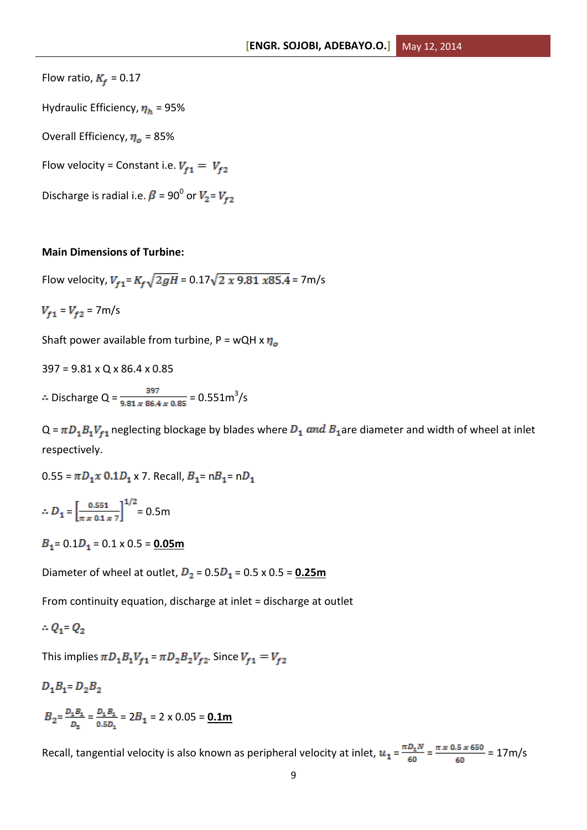Flow ratio,  $K_f = 0.17$ 

Hydraulic Efficiency,  $\eta_h$  = 95%

Overall Efficiency,  $\eta_o$  = 85%

Flow velocity = Constant i.e.  $V_{f1} = V_{f2}$ 

Discharge is radial i.e.  $\beta$  = 90<sup>0</sup> or  $V_2$ =

### **Main Dimensions of Turbine:**

Flow velocity,  $V_{f1} = K_f \sqrt{2gH} = 0.17 \sqrt{2 \times 9.81 \times 85.4} = 7 \text{m/s}$ 

 $V_{f1} = V_{f2} = 7 \text{m/s}$ 

Shaft power available from turbine,  $P = wQH \times \eta_o$ 

397 = 9.81 x Q x 86.4 x 0.85

Discharge Q =  $\frac{397}{9.81 \times 86.4 \times 0.85}$  = 0.551m<sup>3</sup>/s

 $Q = \pi D_1 B_1 V_{f1}$  neglecting blockage by blades where  $D_1$  and  $B_1$  are diameter and width of wheel at inlet respectively.

 $0.55 = \pi D_1 x 0.1 D_1 x 7$ . Recall,  $B_1 = nB_1 = nD_1$ 

$$
\therefore D_1 = \left[\frac{0.551}{\pi \times 0.1 \times 7}\right]^{1/2} = 0.5 \text{m}
$$

 $B_1$  = 0.1 $D_1$  = 0.1 x 0.5 = **0.05m** 

Diameter of wheel at outlet,  $D_2 = 0.5D_1 = 0.5 \times 0.5 = 0.25$ m

From continuity equation, discharge at inlet = discharge at outlet

$$
\therefore Q_1 \cdot Q_2
$$

This implies  $\pi D_1 B_1 V_{f1} = \pi D_2 B_2 V_{f2}$ . Since  $V_{f1} = V_{f2}$ 

$$
D_1B_1 = D_2B_2
$$

 $B_2 = \frac{D_1 B_1}{D_2} = \frac{D_1 B_1}{0.5 D_1} = 2B_1 = 2 \times 0.05 = 0.1 \text{m}$ 

Recall, tangential velocity is also known as peripheral velocity at inlet,  $u_1 = \frac{\pi D_1 N}{60} = \frac{\pi x 0.5 x 650}{60} = 17$ m/s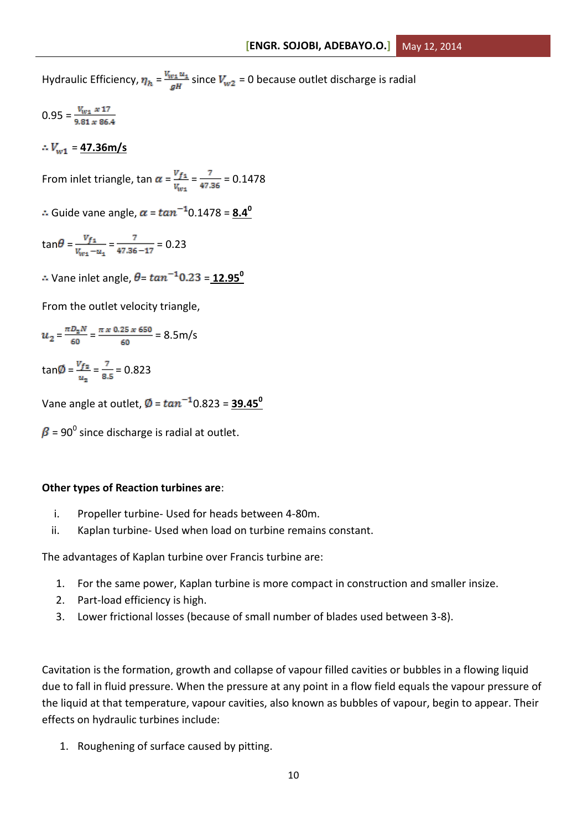Hydraulic Efficiency,  $\eta_h = \frac{V_{W1} u_1}{gH}$  since  $V_{W2} = 0$  because outlet discharge is radial

 $0.95 = \frac{V_{w_1} \times 17}{9.81 \times 86.4}$ 

 $\therefore V_{w1} = 47.36 \text{m/s}$ 

From inlet triangle, tan  $\alpha = \frac{V_{f_1}}{V_{\text{avg}}} = \frac{7}{47.36} = 0.1478$ 

 $\therefore$  Guide vane angle,  $\alpha = \tan^{-1} 0.1478 = 8.4^\circ$ 

$$
\tan\theta = \frac{v_{f_1}}{v_{w_1} - u_1} = \frac{7}{47.36 - 17} = 0.23
$$

 $\therefore$  Vane inlet angle,  $\theta = \tan^{-1} 0.23 = 12.95^{\circ}$ 

From the outlet velocity triangle,

$$
u_2 = \frac{\pi D_2 N}{60} = \frac{\pi \times 0.25 \times 650}{60} = 8.5 \text{ m/s}
$$

 $tan \emptyset = \frac{V_{f2}}{V_{f2}} = \frac{7}{8.5} = 0.823$ 

Vane angle at outlet,  $\phi = \tan^{-1} 0.823 = 39.45^{\circ}$ 

= 90 $^0$  since discharge is radial at outlet.

## **Other types of Reaction turbines are**:

- i. Propeller turbine- Used for heads between 4-80m.
- ii. Kaplan turbine- Used when load on turbine remains constant.

The advantages of Kaplan turbine over Francis turbine are:

- 1. For the same power, Kaplan turbine is more compact in construction and smaller insize.
- 2. Part-load efficiency is high.
- 3. Lower frictional losses (because of small number of blades used between 3-8).

Cavitation is the formation, growth and collapse of vapour filled cavities or bubbles in a flowing liquid due to fall in fluid pressure. When the pressure at any point in a flow field equals the vapour pressure of the liquid at that temperature, vapour cavities, also known as bubbles of vapour, begin to appear. Their effects on hydraulic turbines include:

1. Roughening of surface caused by pitting.